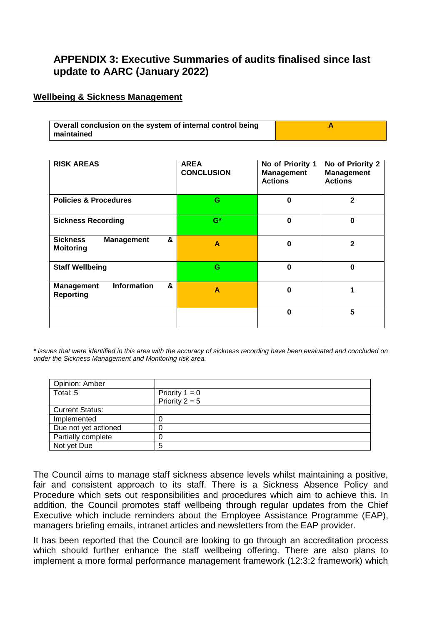# **APPENDIX 3: Executive Summaries of audits finalised since last update to AARC (January 2022)**

### **Wellbeing & Sickness Management**

| Overall conclusion on the system of internal control being |  |
|------------------------------------------------------------|--|
| maintained                                                 |  |

| <b>RISK AREAS</b>                                                | <b>AREA</b><br><b>CONCLUSION</b> | No of Priority 1<br><b>Management</b><br><b>Actions</b> | No of Priority 2<br><b>Management</b><br><b>Actions</b> |
|------------------------------------------------------------------|----------------------------------|---------------------------------------------------------|---------------------------------------------------------|
| <b>Policies &amp; Procedures</b>                                 | G                                | $\Omega$                                                | 2                                                       |
| <b>Sickness Recording</b>                                        | $G^*$                            | $\bf{0}$                                                | $\bf{0}$                                                |
| &<br><b>Sickness</b><br><b>Management</b><br><b>Moitoring</b>    | A                                | $\bf{0}$                                                | $\mathbf{2}$                                            |
| <b>Staff Wellbeing</b>                                           | G                                | $\Omega$                                                | $\bf{0}$                                                |
| <b>Information</b><br>&<br><b>Management</b><br><b>Reporting</b> | A                                | ŋ                                                       |                                                         |
|                                                                  |                                  | $\bf{0}$                                                | 5                                                       |

*\* issues that were identified in this area with the accuracy of sickness recording have been evaluated and concluded on under the Sickness Management and Monitoring risk area.*

| Opinion: Amber         |                  |
|------------------------|------------------|
| Total: 5               | Priority $1 = 0$ |
|                        | Priority $2 = 5$ |
| <b>Current Status:</b> |                  |
| Implemented            |                  |
| Due not yet actioned   |                  |
| Partially complete     |                  |
| Not yet Due            | 5                |

The Council aims to manage staff sickness absence levels whilst maintaining a positive, fair and consistent approach to its staff. There is a Sickness Absence Policy and Procedure which sets out responsibilities and procedures which aim to achieve this. In addition, the Council promotes staff wellbeing through regular updates from the Chief Executive which include reminders about the Employee Assistance Programme (EAP), managers briefing emails, intranet articles and newsletters from the EAP provider.

It has been reported that the Council are looking to go through an accreditation process which should further enhance the staff wellbeing offering. There are also plans to implement a more formal performance management framework (12:3:2 framework) which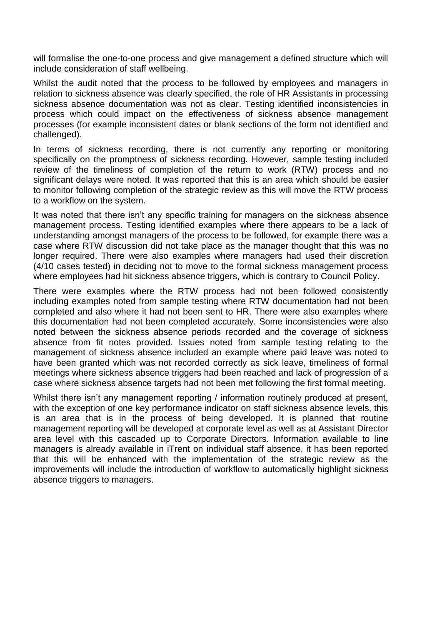will formalise the one-to-one process and give management a defined structure which will include consideration of staff wellbeing.

Whilst the audit noted that the process to be followed by employees and managers in relation to sickness absence was clearly specified, the role of HR Assistants in processing sickness absence documentation was not as clear. Testing identified inconsistencies in process which could impact on the effectiveness of sickness absence management processes (for example inconsistent dates or blank sections of the form not identified and challenged).

In terms of sickness recording, there is not currently any reporting or monitoring specifically on the promptness of sickness recording. However, sample testing included review of the timeliness of completion of the return to work (RTW) process and no significant delays were noted. It was reported that this is an area which should be easier to monitor following completion of the strategic review as this will move the RTW process to a workflow on the system.

It was noted that there isn't any specific training for managers on the sickness absence management process. Testing identified examples where there appears to be a lack of understanding amongst managers of the process to be followed, for example there was a case where RTW discussion did not take place as the manager thought that this was no longer required. There were also examples where managers had used their discretion (4/10 cases tested) in deciding not to move to the formal sickness management process where employees had hit sickness absence triggers, which is contrary to Council Policy.

There were examples where the RTW process had not been followed consistently including examples noted from sample testing where RTW documentation had not been completed and also where it had not been sent to HR. There were also examples where this documentation had not been completed accurately. Some inconsistencies were also noted between the sickness absence periods recorded and the coverage of sickness absence from fit notes provided. Issues noted from sample testing relating to the management of sickness absence included an example where paid leave was noted to have been granted which was not recorded correctly as sick leave, timeliness of formal meetings where sickness absence triggers had been reached and lack of progression of a case where sickness absence targets had not been met following the first formal meeting.

Whilst there isn't any management reporting / information routinely produced at present, with the exception of one key performance indicator on staff sickness absence levels, this is an area that is in the process of being developed. It is planned that routine management reporting will be developed at corporate level as well as at Assistant Director area level with this cascaded up to Corporate Directors. Information available to line managers is already available in iTrent on individual staff absence, it has been reported that this will be enhanced with the implementation of the strategic review as the improvements will include the introduction of workflow to automatically highlight sickness absence triggers to managers.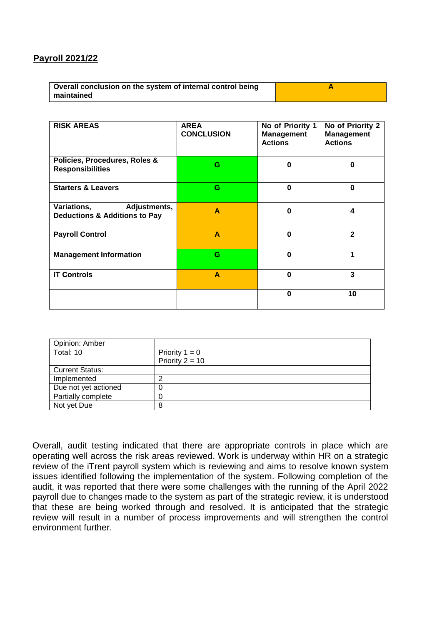## **Payroll 2021/22**

| Overall conclusion on the system of internal control being |  |
|------------------------------------------------------------|--|
| maintained                                                 |  |

| <b>RISK AREAS</b>                                                       | <b>AREA</b><br><b>CONCLUSION</b> | No of Priority 1<br><b>Management</b><br><b>Actions</b> | No of Priority 2<br><b>Management</b><br><b>Actions</b> |
|-------------------------------------------------------------------------|----------------------------------|---------------------------------------------------------|---------------------------------------------------------|
| Policies, Procedures, Roles &<br><b>Responsibilities</b>                | G                                | $\bf{0}$                                                | 0                                                       |
| <b>Starters &amp; Leavers</b>                                           | G                                | $\bf{0}$                                                | $\bf{0}$                                                |
| Variations,<br>Adjustments,<br><b>Deductions &amp; Additions to Pay</b> | A                                | $\bf{0}$                                                | 4                                                       |
| <b>Payroll Control</b>                                                  | A                                | $\bf{0}$                                                | $\mathbf{2}$                                            |
| <b>Management Information</b>                                           | G                                | $\bf{0}$                                                | 1                                                       |
| <b>IT Controls</b>                                                      | A                                | $\bf{0}$                                                | 3                                                       |
|                                                                         |                                  | $\bf{0}$                                                | 10                                                      |

| Opinion: Amber         |                   |
|------------------------|-------------------|
| Total: 10              | Priority $1 = 0$  |
|                        | Priority $2 = 10$ |
| <b>Current Status:</b> |                   |
| Implemented            |                   |
| Due not yet actioned   |                   |
| Partially complete     |                   |
| Not yet Due            | 8                 |

Overall, audit testing indicated that there are appropriate controls in place which are operating well across the risk areas reviewed. Work is underway within HR on a strategic review of the iTrent payroll system which is reviewing and aims to resolve known system issues identified following the implementation of the system. Following completion of the audit, it was reported that there were some challenges with the running of the April 2022 payroll due to changes made to the system as part of the strategic review, it is understood that these are being worked through and resolved. It is anticipated that the strategic review will result in a number of process improvements and will strengthen the control environment further.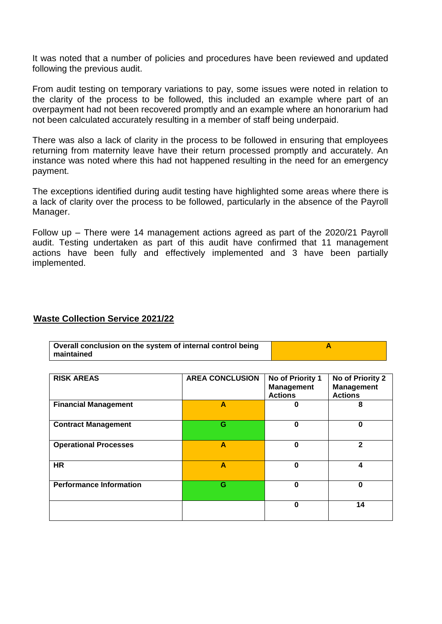It was noted that a number of policies and procedures have been reviewed and updated following the previous audit.

From audit testing on temporary variations to pay, some issues were noted in relation to the clarity of the process to be followed, this included an example where part of an overpayment had not been recovered promptly and an example where an honorarium had not been calculated accurately resulting in a member of staff being underpaid.

There was also a lack of clarity in the process to be followed in ensuring that employees returning from maternity leave have their return processed promptly and accurately. An instance was noted where this had not happened resulting in the need for an emergency payment.

The exceptions identified during audit testing have highlighted some areas where there is a lack of clarity over the process to be followed, particularly in the absence of the Payroll Manager.

Follow up – There were 14 management actions agreed as part of the 2020/21 Payroll audit. Testing undertaken as part of this audit have confirmed that 11 management actions have been fully and effectively implemented and 3 have been partially implemented.

#### **Waste Collection Service 2021/22**

| Overall conclusion on the system of internal control being |  |
|------------------------------------------------------------|--|
| maintained                                                 |  |

| <b>RISK AREAS</b>              | <b>AREA CONCLUSION</b> | No of Priority 1<br><b>Management</b><br><b>Actions</b> | No of Priority 2<br><b>Management</b><br><b>Actions</b> |
|--------------------------------|------------------------|---------------------------------------------------------|---------------------------------------------------------|
| <b>Financial Management</b>    | A                      | 0                                                       | 8                                                       |
| <b>Contract Management</b>     | G                      | 0                                                       | 0                                                       |
| <b>Operational Processes</b>   | A                      | 0                                                       | $\mathbf{2}$                                            |
| <b>HR</b>                      | A                      | 0                                                       | 4                                                       |
| <b>Performance Information</b> | G                      | 0                                                       | 0                                                       |
|                                |                        | 0                                                       | 14                                                      |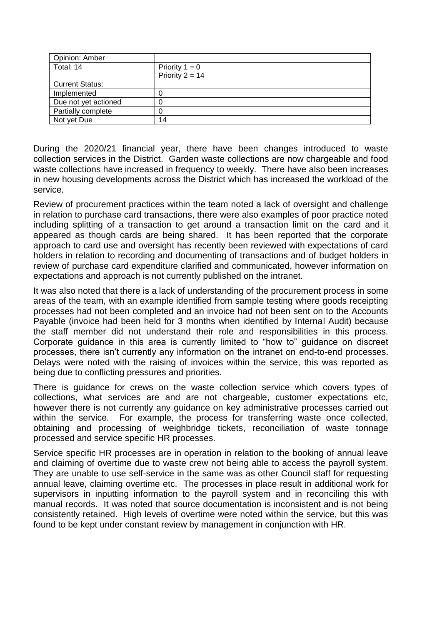| Opinion: Amber         |                   |
|------------------------|-------------------|
| Total: 14              | Priority $1 = 0$  |
|                        | Priority $2 = 14$ |
| <b>Current Status:</b> |                   |
| Implemented            |                   |
| Due not yet actioned   |                   |
| Partially complete     |                   |
| Not yet Due            | 14                |

During the 2020/21 financial year, there have been changes introduced to waste collection services in the District. Garden waste collections are now chargeable and food waste collections have increased in frequency to weekly. There have also been increases in new housing developments across the District which has increased the workload of the service.

Review of procurement practices within the team noted a lack of oversight and challenge in relation to purchase card transactions, there were also examples of poor practice noted including splitting of a transaction to get around a transaction limit on the card and it appeared as though cards are being shared. It has been reported that the corporate approach to card use and oversight has recently been reviewed with expectations of card holders in relation to recording and documenting of transactions and of budget holders in review of purchase card expenditure clarified and communicated, however information on expectations and approach is not currently published on the intranet.

It was also noted that there is a lack of understanding of the procurement process in some areas of the team, with an example identified from sample testing where goods receipting processes had not been completed and an invoice had not been sent on to the Accounts Payable (invoice had been held for 3 months when identified by Internal Audit) because the staff member did not understand their role and responsibilities in this process. Corporate guidance in this area is currently limited to "how to" guidance on discreet processes, there isn't currently any information on the intranet on end-to-end processes. Delays were noted with the raising of invoices within the service, this was reported as being due to conflicting pressures and priorities.

There is guidance for crews on the waste collection service which covers types of collections, what services are and are not chargeable, customer expectations etc, however there is not currently any guidance on key administrative processes carried out within the service. For example, the process for transferring waste once collected, obtaining and processing of weighbridge tickets, reconciliation of waste tonnage processed and service specific HR processes.

Service specific HR processes are in operation in relation to the booking of annual leave and claiming of overtime due to waste crew not being able to access the payroll system. They are unable to use self-service in the same was as other Council staff for requesting annual leave, claiming overtime etc. The processes in place result in additional work for supervisors in inputting information to the payroll system and in reconciling this with manual records. It was noted that source documentation is inconsistent and is not being consistently retained. High levels of overtime were noted within the service, but this was found to be kept under constant review by management in conjunction with HR.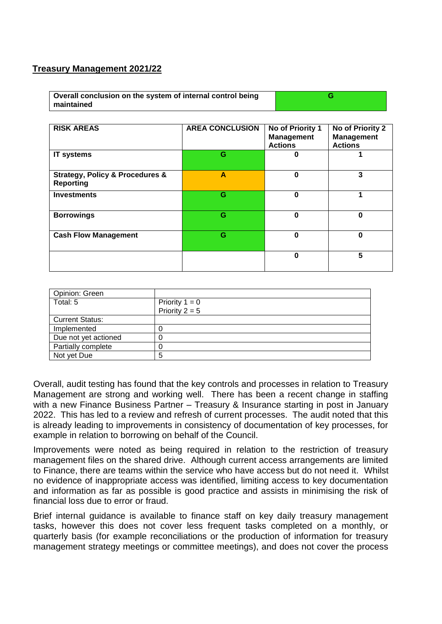### **Treasury Management 2021/22**

| Overall conclusion on the system of internal control being |  |
|------------------------------------------------------------|--|
| maintained                                                 |  |

| <b>RISK AREAS</b>                                                  | <b>AREA CONCLUSION</b> | No of Priority 1<br><b>Management</b><br><b>Actions</b> | No of Priority 2<br><b>Management</b><br><b>Actions</b> |
|--------------------------------------------------------------------|------------------------|---------------------------------------------------------|---------------------------------------------------------|
| <b>IT systems</b>                                                  | G                      | 0                                                       |                                                         |
| <b>Strategy, Policy &amp; Procedures &amp;</b><br><b>Reporting</b> | A                      | 0                                                       | 3                                                       |
| <b>Investments</b>                                                 | G                      | $\bf{0}$                                                | 1                                                       |
| <b>Borrowings</b>                                                  | G                      | $\bf{0}$                                                | $\bf{0}$                                                |
| <b>Cash Flow Management</b>                                        | G                      | 0                                                       | 0                                                       |
|                                                                    |                        | 0                                                       | 5                                                       |

| Opinion: Green         |                  |
|------------------------|------------------|
| Total: 5               | Priority $1 = 0$ |
|                        | Priority $2 = 5$ |
| <b>Current Status:</b> |                  |
| Implemented            |                  |
| Due not yet actioned   |                  |
| Partially complete     |                  |
| Not yet Due            | 5                |

Overall, audit testing has found that the key controls and processes in relation to Treasury Management are strong and working well. There has been a recent change in staffing with a new Finance Business Partner – Treasury & Insurance starting in post in January 2022. This has led to a review and refresh of current processes. The audit noted that this is already leading to improvements in consistency of documentation of key processes, for example in relation to borrowing on behalf of the Council.

Improvements were noted as being required in relation to the restriction of treasury management files on the shared drive. Although current access arrangements are limited to Finance, there are teams within the service who have access but do not need it. Whilst no evidence of inappropriate access was identified, limiting access to key documentation and information as far as possible is good practice and assists in minimising the risk of financial loss due to error or fraud.

Brief internal guidance is available to finance staff on key daily treasury management tasks, however this does not cover less frequent tasks completed on a monthly, or quarterly basis (for example reconciliations or the production of information for treasury management strategy meetings or committee meetings), and does not cover the process